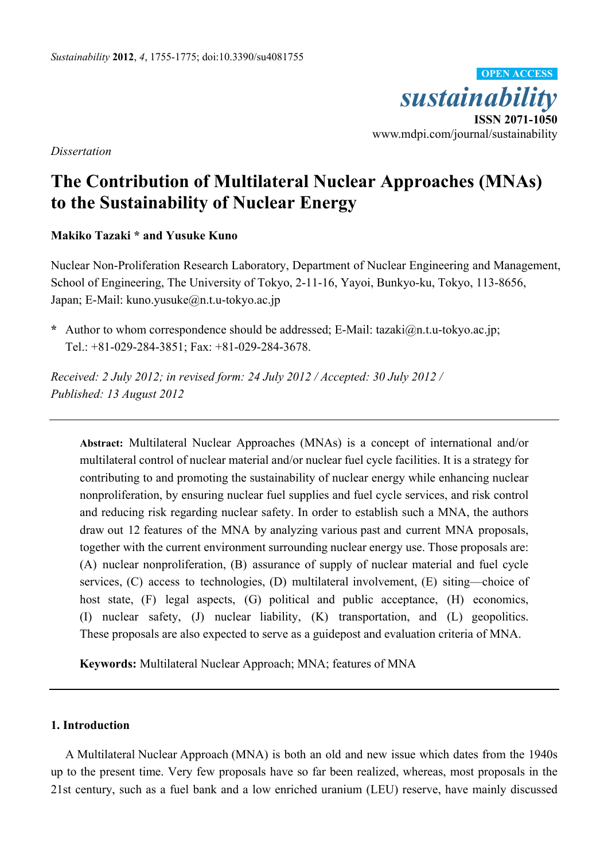

*Dissertation* 

# **The Contribution of Multilateral Nuclear Approaches (MNAs) to the Sustainability of Nuclear Energy**

# **Makiko Tazaki \* and Yusuke Kuno**

Nuclear Non-Proliferation Research Laboratory, Department of Nuclear Engineering and Management, School of Engineering, The University of Tokyo, 2-11-16, Yayoi, Bunkyo-ku, Tokyo, 113-8656, Japan; E-Mail: kuno.yusuke@n.t.u-tokyo.ac.jp

**\*** Author to whom correspondence should be addressed; E-Mail: tazaki@n.t.u-tokyo.ac.jp; Tel.: +81-029-284-3851; Fax: +81-029-284-3678.

*Received: 2 July 2012; in revised form: 24 July 2012 / Accepted: 30 July 2012 / Published: 13 August 2012* 

**Abstract:** Multilateral Nuclear Approaches (MNAs) is a concept of international and/or multilateral control of nuclear material and/or nuclear fuel cycle facilities. It is a strategy for contributing to and promoting the sustainability of nuclear energy while enhancing nuclear nonproliferation, by ensuring nuclear fuel supplies and fuel cycle services, and risk control and reducing risk regarding nuclear safety. In order to establish such a MNA, the authors draw out 12 features of the MNA by analyzing various past and current MNA proposals, together with the current environment surrounding nuclear energy use. Those proposals are: (A) nuclear nonproliferation, (B) assurance of supply of nuclear material and fuel cycle services, (C) access to technologies, (D) multilateral involvement, (E) siting—choice of host state, (F) legal aspects, (G) political and public acceptance, (H) economics, (I) nuclear safety, (J) nuclear liability, (K) transportation, and (L) geopolitics. These proposals are also expected to serve as a guidepost and evaluation criteria of MNA.

**Keywords:** Multilateral Nuclear Approach; MNA; features of MNA

# **1. Introduction**

A Multilateral Nuclear Approach (MNA) is both an old and new issue which dates from the 1940s up to the present time. Very few proposals have so far been realized, whereas, most proposals in the 21st century, such as a fuel bank and a low enriched uranium (LEU) reserve, have mainly discussed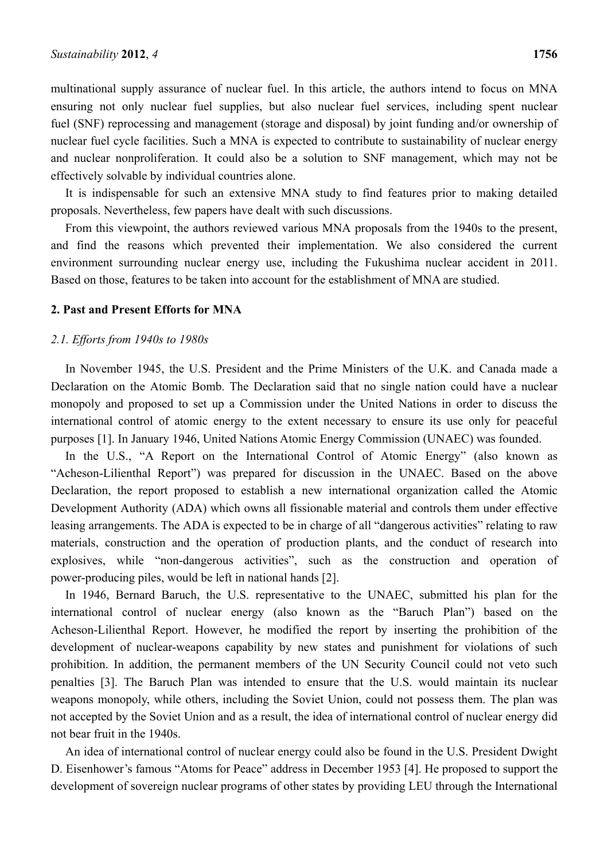multinational supply assurance of nuclear fuel. In this article, the authors intend to focus on MNA ensuring not only nuclear fuel supplies, but also nuclear fuel services, including spent nuclear fuel (SNF) reprocessing and management (storage and disposal) by joint funding and/or ownership of nuclear fuel cycle facilities. Such a MNA is expected to contribute to sustainability of nuclear energy and nuclear nonproliferation. It could also be a solution to SNF management, which may not be effectively solvable by individual countries alone.

It is indispensable for such an extensive MNA study to find features prior to making detailed proposals. Nevertheless, few papers have dealt with such discussions.

From this viewpoint, the authors reviewed various MNA proposals from the 1940s to the present, and find the reasons which prevented their implementation. We also considered the current environment surrounding nuclear energy use, including the Fukushima nuclear accident in 2011. Based on those, features to be taken into account for the establishment of MNA are studied.

#### **2. Past and Present Efforts for MNA**

#### *2.1. Efforts from 1940s to 1980s*

In November 1945, the U.S. President and the Prime Ministers of the U.K. and Canada made a Declaration on the Atomic Bomb. The Declaration said that no single nation could have a nuclear monopoly and proposed to set up a Commission under the United Nations in order to discuss the international control of atomic energy to the extent necessary to ensure its use only for peaceful purposes [1]. In January 1946, United Nations Atomic Energy Commission (UNAEC) was founded.

In the U.S., "A Report on the International Control of Atomic Energy" (also known as "Acheson-Lilienthal Report") was prepared for discussion in the UNAEC. Based on the above Declaration, the report proposed to establish a new international organization called the Atomic Development Authority (ADA) which owns all fissionable material and controls them under effective leasing arrangements. The ADA is expected to be in charge of all "dangerous activities" relating to raw materials, construction and the operation of production plants, and the conduct of research into explosives, while "non-dangerous activities", such as the construction and operation of power-producing piles, would be left in national hands [2].

In 1946, Bernard Baruch, the U.S. representative to the UNAEC, submitted his plan for the international control of nuclear energy (also known as the "Baruch Plan") based on the Acheson-Lilienthal Report. However, he modified the report by inserting the prohibition of the development of nuclear-weapons capability by new states and punishment for violations of such prohibition. In addition, the permanent members of the UN Security Council could not veto such penalties [3]. The Baruch Plan was intended to ensure that the U.S. would maintain its nuclear weapons monopoly, while others, including the Soviet Union, could not possess them. The plan was not accepted by the Soviet Union and as a result, the idea of international control of nuclear energy did not bear fruit in the 1940s.

An idea of international control of nuclear energy could also be found in the U.S. President Dwight D. Eisenhower's famous "Atoms for Peace" address in December 1953 [4]. He proposed to support the development of sovereign nuclear programs of other states by providing LEU through the International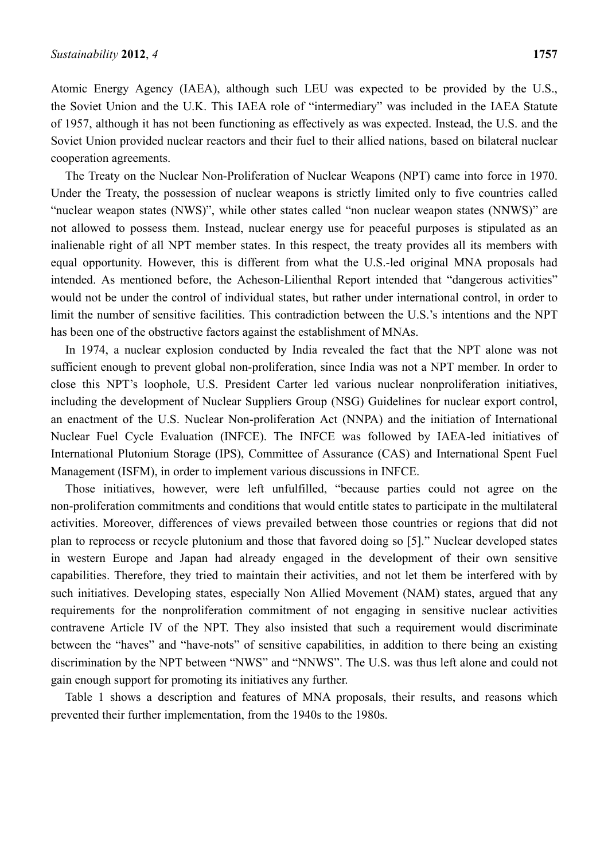Atomic Energy Agency (IAEA), although such LEU was expected to be provided by the U.S., the Soviet Union and the U.K. This IAEA role of "intermediary" was included in the IAEA Statute of 1957, although it has not been functioning as effectively as was expected. Instead, the U.S. and the Soviet Union provided nuclear reactors and their fuel to their allied nations, based on bilateral nuclear cooperation agreements.

The Treaty on the Nuclear Non-Proliferation of Nuclear Weapons (NPT) came into force in 1970. Under the Treaty, the possession of nuclear weapons is strictly limited only to five countries called "nuclear weapon states (NWS)", while other states called "non nuclear weapon states (NNWS)" are not allowed to possess them. Instead, nuclear energy use for peaceful purposes is stipulated as an inalienable right of all NPT member states. In this respect, the treaty provides all its members with equal opportunity. However, this is different from what the U.S.-led original MNA proposals had intended. As mentioned before, the Acheson-Lilienthal Report intended that "dangerous activities" would not be under the control of individual states, but rather under international control, in order to limit the number of sensitive facilities. This contradiction between the U.S.'s intentions and the NPT has been one of the obstructive factors against the establishment of MNAs.

In 1974, a nuclear explosion conducted by India revealed the fact that the NPT alone was not sufficient enough to prevent global non-proliferation, since India was not a NPT member. In order to close this NPT's loophole, U.S. President Carter led various nuclear nonproliferation initiatives, including the development of Nuclear Suppliers Group (NSG) Guidelines for nuclear export control, an enactment of the U.S. Nuclear Non-proliferation Act (NNPA) and the initiation of International Nuclear Fuel Cycle Evaluation (INFCE). The INFCE was followed by IAEA-led initiatives of International Plutonium Storage (IPS), Committee of Assurance (CAS) and International Spent Fuel Management (ISFM), in order to implement various discussions in INFCE.

Those initiatives, however, were left unfulfilled, "because parties could not agree on the non-proliferation commitments and conditions that would entitle states to participate in the multilateral activities. Moreover, differences of views prevailed between those countries or regions that did not plan to reprocess or recycle plutonium and those that favored doing so [5]." Nuclear developed states in western Europe and Japan had already engaged in the development of their own sensitive capabilities. Therefore, they tried to maintain their activities, and not let them be interfered with by such initiatives. Developing states, especially Non Allied Movement (NAM) states, argued that any requirements for the nonproliferation commitment of not engaging in sensitive nuclear activities contravene Article IV of the NPT. They also insisted that such a requirement would discriminate between the "haves" and "have-nots" of sensitive capabilities, in addition to there being an existing discrimination by the NPT between "NWS" and "NNWS". The U.S. was thus left alone and could not gain enough support for promoting its initiatives any further.

Table 1 shows a description and features of MNA proposals, their results, and reasons which prevented their further implementation, from the 1940s to the 1980s.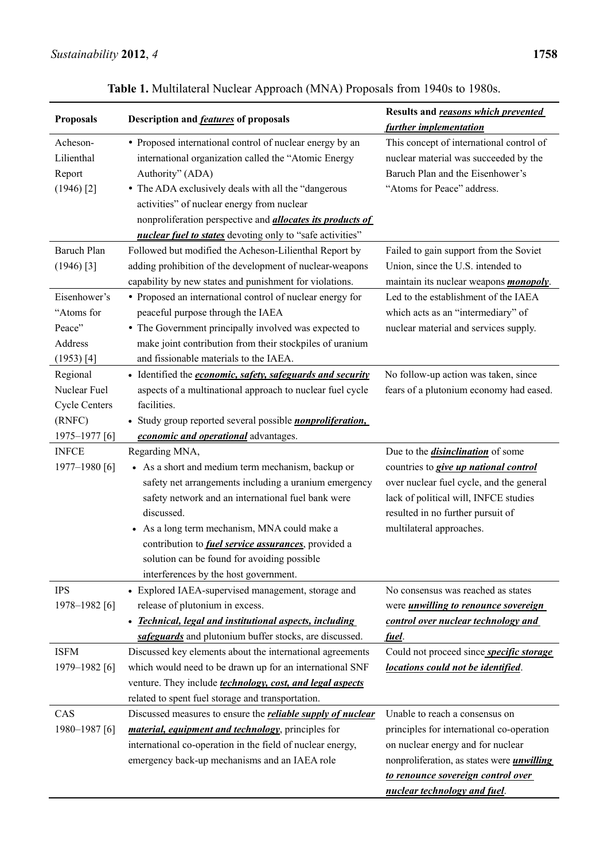| <b>Proposals</b>        | Description and <b>features</b> of proposals                       | Results and reasons which prevented                                       |
|-------------------------|--------------------------------------------------------------------|---------------------------------------------------------------------------|
|                         |                                                                    | further implementation                                                    |
| Acheson-                | • Proposed international control of nuclear energy by an           | This concept of international control of                                  |
| Lilienthal              | international organization called the "Atomic Energy               | nuclear material was succeeded by the<br>Baruch Plan and the Eisenhower's |
| Report                  | Authority" (ADA)                                                   |                                                                           |
| $(1946)$ <sup>[2]</sup> | • The ADA exclusively deals with all the "dangerous                | "Atoms for Peace" address.                                                |
|                         | activities" of nuclear energy from nuclear                         |                                                                           |
|                         | nonproliferation perspective and <i>allocates its products of</i>  |                                                                           |
| <b>Baruch Plan</b>      | nuclear fuel to states devoting only to "safe activities"          |                                                                           |
|                         | Followed but modified the Acheson-Lilienthal Report by             | Failed to gain support from the Soviet                                    |
| $(1946)$ [3]            | adding prohibition of the development of nuclear-weapons           | Union, since the U.S. intended to                                         |
|                         | capability by new states and punishment for violations.            | maintain its nuclear weapons <i>monopoly</i> .                            |
| Eisenhower's            | • Proposed an international control of nuclear energy for          | Led to the establishment of the IAEA                                      |
| "Atoms for              | peaceful purpose through the IAEA                                  | which acts as an "intermediary" of                                        |
| Peace"                  | • The Government principally involved was expected to              | nuclear material and services supply.                                     |
| Address                 | make joint contribution from their stockpiles of uranium           |                                                                           |
| $(1953)$ [4]            | and fissionable materials to the IAEA.                             |                                                                           |
| Regional                | • Identified the <i>economic</i> , safety, safeguards and security | No follow-up action was taken, since                                      |
| Nuclear Fuel            | aspects of a multinational approach to nuclear fuel cycle          | fears of a plutonium economy had eased.                                   |
| <b>Cycle Centers</b>    | facilities.                                                        |                                                                           |
| (RNFC)                  | • Study group reported several possible <i>nonproliferation</i> ,  |                                                                           |
| 1975-1977 [6]           | economic and operational advantages.                               |                                                                           |
| <b>INFCE</b>            | Regarding MNA,                                                     | Due to the <i>disinclination</i> of some                                  |
| 1977-1980 [6]           | • As a short and medium term mechanism, backup or                  | countries to <i>give up national control</i>                              |
|                         | safety net arrangements including a uranium emergency              | over nuclear fuel cycle, and the general                                  |
|                         | safety network and an international fuel bank were                 | lack of political will, INFCE studies                                     |
|                         | discussed.                                                         | resulted in no further pursuit of                                         |
|                         | • As a long term mechanism, MNA could make a                       | multilateral approaches.                                                  |
|                         | contribution to <i>fuel service assurances</i> , provided a        |                                                                           |
|                         | solution can be found for avoiding possible                        |                                                                           |
|                         | interferences by the host government.                              |                                                                           |
| <b>IPS</b>              | • Explored IAEA-supervised management, storage and                 | No consensus was reached as states                                        |
| 1978-1982 [6]           | release of plutonium in excess.                                    | were <i>unwilling to renounce sovereign</i>                               |
|                         | <b>Technical, legal and institutional aspects, including</b>       | control over nuclear technology and                                       |
|                         | safeguards and plutonium buffer stocks, are discussed.             | fuel.                                                                     |
| <b>ISFM</b>             | Discussed key elements about the international agreements          | Could not proceed since <i>specific storage</i>                           |
| 1979-1982 [6]           | which would need to be drawn up for an international SNF           | locations could not be identified.                                        |
|                         | venture. They include <i>technology, cost, and legal aspects</i>   |                                                                           |
|                         | related to spent fuel storage and transportation.                  |                                                                           |
| CAS                     | Discussed measures to ensure the <b>reliable supply of nuclear</b> | Unable to reach a consensus on                                            |
| 1980-1987 [6]           | <i>material, equipment and technology</i> , principles for         | principles for international co-operation                                 |
|                         | international co-operation in the field of nuclear energy,         | on nuclear energy and for nuclear                                         |
|                         | emergency back-up mechanisms and an IAEA role                      | nonproliferation, as states were <i>unwilling</i>                         |
|                         |                                                                    | to renounce sovereign control over                                        |
|                         |                                                                    | nuclear technology and fuel.                                              |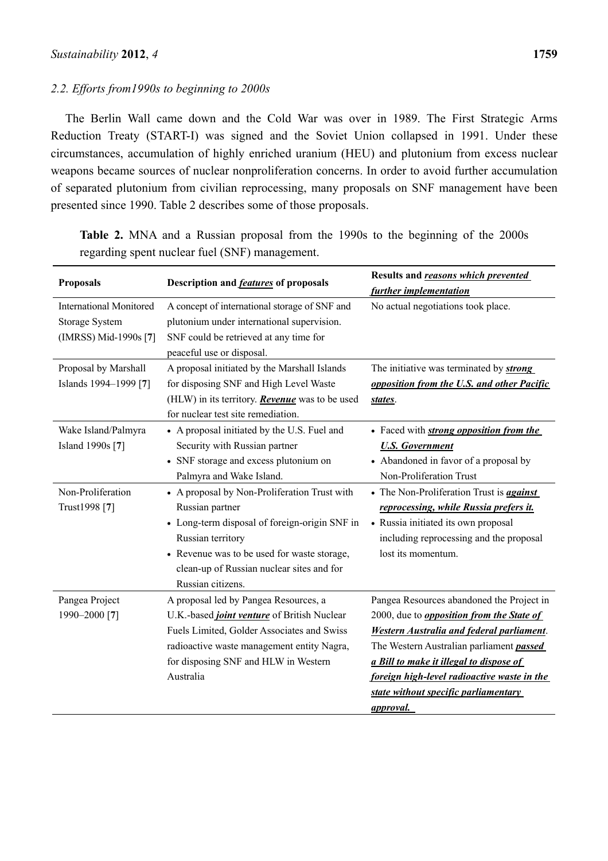# *2.2. Efforts from1990s to beginning to 2000s*

The Berlin Wall came down and the Cold War was over in 1989. The First Strategic Arms Reduction Treaty (START-I) was signed and the Soviet Union collapsed in 1991. Under these circumstances, accumulation of highly enriched uranium (HEU) and plutonium from excess nuclear weapons became sources of nuclear nonproliferation concerns. In order to avoid further accumulation of separated plutonium from civilian reprocessing, many proposals on SNF management have been presented since 1990. Table 2 describes some of those proposals.

| <b>Proposals</b>                                                                 | Description and <b>features</b> of proposals                                                                                                                                                                                                                                                                                                                                                                | Results and reasons which prevented<br>further implementation                                                                                                                                                                                                                                                                                       |
|----------------------------------------------------------------------------------|-------------------------------------------------------------------------------------------------------------------------------------------------------------------------------------------------------------------------------------------------------------------------------------------------------------------------------------------------------------------------------------------------------------|-----------------------------------------------------------------------------------------------------------------------------------------------------------------------------------------------------------------------------------------------------------------------------------------------------------------------------------------------------|
| <b>International Monitored</b><br><b>Storage System</b><br>(IMRSS) Mid-1990s [7] | A concept of international storage of SNF and<br>plutonium under international supervision.<br>SNF could be retrieved at any time for<br>peaceful use or disposal.                                                                                                                                                                                                                                          | No actual negotiations took place.                                                                                                                                                                                                                                                                                                                  |
| Proposal by Marshall<br>Islands 1994-1999 [7]                                    | A proposal initiated by the Marshall Islands<br>for disposing SNF and High Level Waste<br>(HLW) in its territory. <b>Revenue</b> was to be used<br>for nuclear test site remediation.                                                                                                                                                                                                                       | The initiative was terminated by <b>strong</b><br>opposition from the U.S. and other Pacific<br>states.                                                                                                                                                                                                                                             |
| Wake Island/Palmyra<br>Island 1990s [7]<br>Non-Proliferation<br>Trust1998 [7]    | • A proposal initiated by the U.S. Fuel and<br>Security with Russian partner<br>• SNF storage and excess plutonium on<br>Palmyra and Wake Island.<br>• A proposal by Non-Proliferation Trust with<br>Russian partner<br>• Long-term disposal of foreign-origin SNF in<br>Russian territory<br>• Revenue was to be used for waste storage,<br>clean-up of Russian nuclear sites and for<br>Russian citizens. | • Faced with <i>strong opposition from the</i><br><b>U.S. Government</b><br>• Abandoned in favor of a proposal by<br>Non-Proliferation Trust<br>• The Non-Proliferation Trust is <i>against</i><br>reprocessing, while Russia prefers it.<br>• Russia initiated its own proposal<br>including reprocessing and the proposal<br>lost its momentum.   |
| Pangea Project<br>1990-2000 [7]                                                  | A proposal led by Pangea Resources, a<br>U.K.-based <i>joint venture</i> of British Nuclear<br>Fuels Limited, Golder Associates and Swiss<br>radioactive waste management entity Nagra,<br>for disposing SNF and HLW in Western<br>Australia                                                                                                                                                                | Pangea Resources abandoned the Project in<br>2000, due to <i>opposition from the State of</i><br><b>Western Australia and federal parliament.</b><br>The Western Australian parliament passed<br>a Bill to make it illegal to dispose of<br>foreign high-level radioactive waste in the<br>state without specific parliamentary<br><i>approval.</i> |

**Table 2.** MNA and a Russian proposal from the 1990s to the beginning of the 2000s regarding spent nuclear fuel (SNF) management.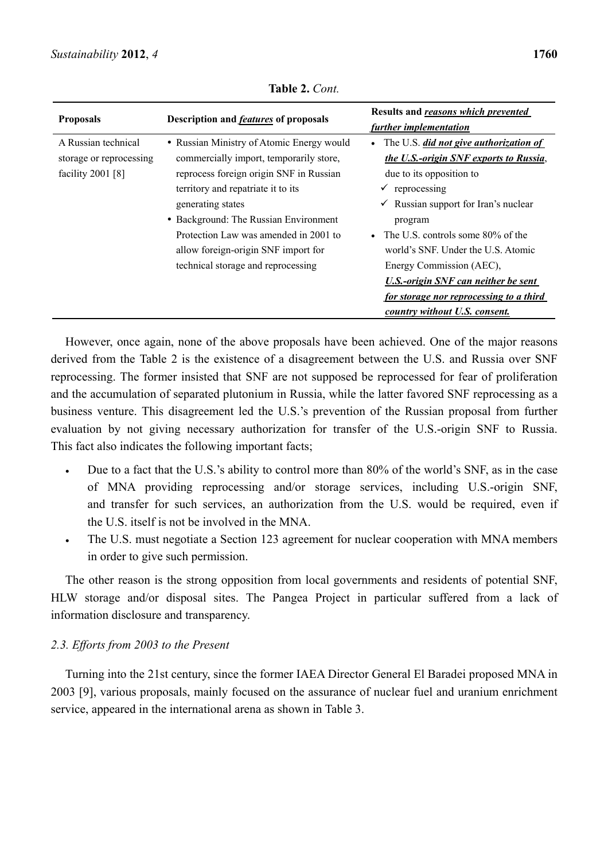| <b>Proposals</b>                                                      | Description and <b>features</b> of proposals                                                                                                                                                                                                                                                                                                              | Results and reasons which prevented<br>further implementation                                                                                                                                                                                                                                                                                                                                                                                          |
|-----------------------------------------------------------------------|-----------------------------------------------------------------------------------------------------------------------------------------------------------------------------------------------------------------------------------------------------------------------------------------------------------------------------------------------------------|--------------------------------------------------------------------------------------------------------------------------------------------------------------------------------------------------------------------------------------------------------------------------------------------------------------------------------------------------------------------------------------------------------------------------------------------------------|
| A Russian technical<br>storage or reprocessing<br>facility $2001$ [8] | • Russian Ministry of Atomic Energy would<br>commercially import, temporarily store,<br>reprocess foreign origin SNF in Russian<br>territory and repatriate it to its<br>generating states<br>• Background: The Russian Environment<br>Protection Law was amended in 2001 to<br>allow foreign-origin SNF import for<br>technical storage and reprocessing | • The U.S. <i>did not give authorization of</i><br>the U.S.-origin SNF exports to Russia,<br>due to its opposition to<br>$\checkmark$ reprocessing<br>$\checkmark$ Russian support for Iran's nuclear<br>program<br>• The U.S. controls some $80\%$ of the<br>world's SNF. Under the U.S. Atomic<br>Energy Commission (AEC),<br><b>U.S.-origin SNF can neither be sent</b><br>for storage nor reprocessing to a third<br>country without U.S. consent. |

**Table 2.** *Cont.*

However, once again, none of the above proposals have been achieved. One of the major reasons derived from the Table 2 is the existence of a disagreement between the U.S. and Russia over SNF reprocessing. The former insisted that SNF are not supposed be reprocessed for fear of proliferation and the accumulation of separated plutonium in Russia, while the latter favored SNF reprocessing as a business venture. This disagreement led the U.S.'s prevention of the Russian proposal from further evaluation by not giving necessary authorization for transfer of the U.S.-origin SNF to Russia. This fact also indicates the following important facts;

- Due to a fact that the U.S.'s ability to control more than 80% of the world's SNF, as in the case of MNA providing reprocessing and/or storage services, including U.S.-origin SNF, and transfer for such services, an authorization from the U.S. would be required, even if the U.S. itself is not be involved in the MNA.
- The U.S. must negotiate a Section 123 agreement for nuclear cooperation with MNA members in order to give such permission.

The other reason is the strong opposition from local governments and residents of potential SNF, HLW storage and/or disposal sites. The Pangea Project in particular suffered from a lack of information disclosure and transparency.

# *2.3. Efforts from 2003 to the Present*

Turning into the 21st century, since the former IAEA Director General El Baradei proposed MNA in 2003 [9], various proposals, mainly focused on the assurance of nuclear fuel and uranium enrichment service, appeared in the international arena as shown in Table 3.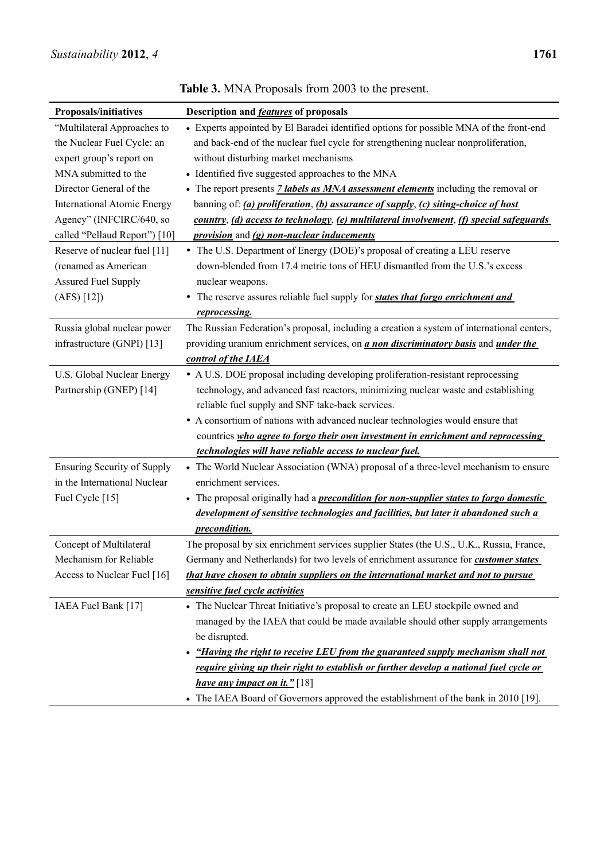| Proposals/initiatives              | Description and <b>features</b> of proposals                                                     |
|------------------------------------|--------------------------------------------------------------------------------------------------|
| "Multilateral Approaches to        | • Experts appointed by El Baradei identified options for possible MNA of the front-end           |
| the Nuclear Fuel Cycle: an         | and back-end of the nuclear fuel cycle for strengthening nuclear nonproliferation,               |
| expert group's report on           | without disturbing market mechanisms                                                             |
| MNA submitted to the               | • Identified five suggested approaches to the MNA                                                |
| Director General of the            | • The report presents <i>7 labels as MNA assessment elements</i> including the removal or        |
| <b>International Atomic Energy</b> | banning of: (a) proliferation, (b) assurance of supply, (c) siting-choice of host                |
| Agency" (INFCIRC/640, so           | country, (d) access to technology, (e) multilateral involvement, (f) special safeguards          |
| called "Pellaud Report") [10]      | <i>provision</i> and (g) non-nuclear inducements                                                 |
| Reserve of nuclear fuel [11]       | • The U.S. Department of Energy (DOE)'s proposal of creating a LEU reserve                       |
| (renamed as American               | down-blended from 17.4 metric tons of HEU dismantled from the U.S.'s excess                      |
| <b>Assured Fuel Supply</b>         | nuclear weapons.                                                                                 |
| (AFS) [12]                         | • The reserve assures reliable fuel supply for <i>states that forgo enrichment and</i>           |
|                                    | reprocessing.                                                                                    |
| Russia global nuclear power        | The Russian Federation's proposal, including a creation a system of international centers,       |
| infrastructure (GNPI) [13]         | providing uranium enrichment services, on <i>a non discriminatory basis</i> and <i>under the</i> |
|                                    | control of the IAEA                                                                              |
| U.S. Global Nuclear Energy         | • A U.S. DOE proposal including developing proliferation-resistant reprocessing                  |
| Partnership (GNEP) [14]            | technology, and advanced fast reactors, minimizing nuclear waste and establishing                |
|                                    | reliable fuel supply and SNF take-back services.                                                 |
|                                    | • A consortium of nations with advanced nuclear technologies would ensure that                   |
|                                    | countries who agree to forgo their own investment in enrichment and reprocessing                 |
|                                    | technologies will have reliable access to nuclear fuel.                                          |
| <b>Ensuring Security of Supply</b> | • The World Nuclear Association (WNA) proposal of a three-level mechanism to ensure              |
| in the International Nuclear       | enrichment services.                                                                             |
| Fuel Cycle [15]                    | • The proposal originally had a <i>precondition for non-supplier states to forgo domestic</i>    |
|                                    | development of sensitive technologies and facilities, but later it abandoned such a              |
|                                    | precondition.                                                                                    |
| Concept of Multilateral            | The proposal by six enrichment services supplier States (the U.S., U.K., Russia, France,         |
| Mechanism for Reliable             | Germany and Netherlands) for two levels of enrichment assurance for <b>customer states</b>       |
| Access to Nuclear Fuel [16]        | that have chosen to obtain suppliers on the international market and not to pursue               |
|                                    | sensitive fuel cycle activities                                                                  |
| IAEA Fuel Bank [17]                | • The Nuclear Threat Initiative's proposal to create an LEU stockpile owned and                  |
|                                    | managed by the IAEA that could be made available should other supply arrangements                |
|                                    | be disrupted.                                                                                    |
|                                    | • "Having the right to receive LEU from the guaranteed supply mechanism shall not                |
|                                    | require giving up their right to establish or further develop a national fuel cycle or           |
|                                    | <i>have any impact on it.</i> " [18]                                                             |
|                                    | • The IAEA Board of Governors approved the establishment of the bank in 2010 [19].               |

**Table 3.** MNA Proposals from 2003 to the present.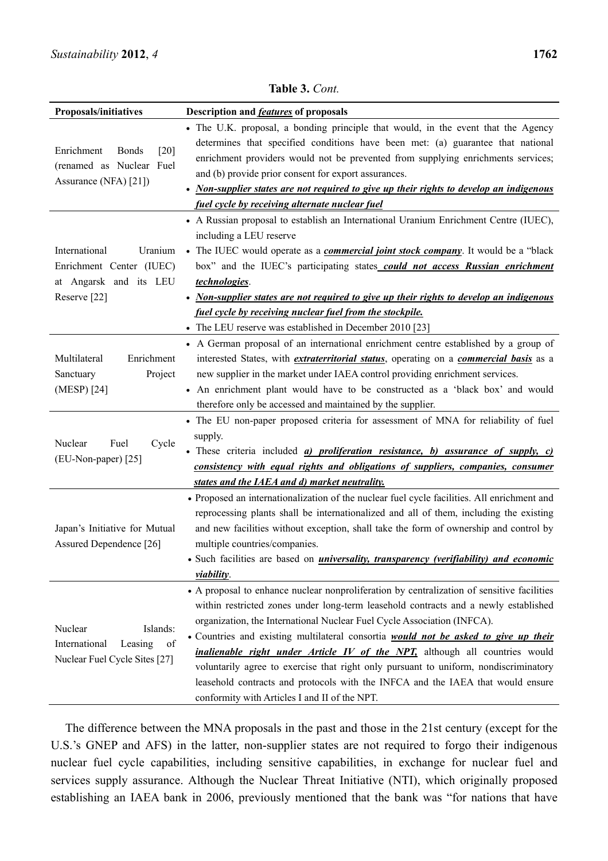| Proposals/initiatives                | Description and <b>features</b> of proposals                                                                                                                                |
|--------------------------------------|-----------------------------------------------------------------------------------------------------------------------------------------------------------------------------|
|                                      | • The U.K. proposal, a bonding principle that would, in the event that the Agency                                                                                           |
| Enrichment<br><b>Bonds</b><br>$[20]$ | determines that specified conditions have been met: (a) guarantee that national                                                                                             |
| (renamed as Nuclear Fuel             | enrichment providers would not be prevented from supplying enrichments services;                                                                                            |
| Assurance (NFA) [21])                | and (b) provide prior consent for export assurances.                                                                                                                        |
|                                      | • Non-supplier states are not required to give up their rights to develop an indigenous                                                                                     |
|                                      | fuel cycle by receiving alternate nuclear fuel                                                                                                                              |
|                                      | • A Russian proposal to establish an International Uranium Enrichment Centre (IUEC),                                                                                        |
|                                      | including a LEU reserve                                                                                                                                                     |
| International<br>Uranium             | • The IUEC would operate as a <i>commercial joint stock company</i> . It would be a "black                                                                                  |
| Enrichment Center (IUEC)             | box" and the IUEC's participating states could not access Russian enrichment                                                                                                |
| at Angarsk and its LEU               | technologies.                                                                                                                                                               |
| Reserve <sup>[22]</sup>              | • Non-supplier states are not required to give up their rights to develop an indigenous                                                                                     |
|                                      | fuel cycle by receiving nuclear fuel from the stockpile.                                                                                                                    |
|                                      | • The LEU reserve was established in December 2010 [23]                                                                                                                     |
|                                      | • A German proposal of an international enrichment centre established by a group of                                                                                         |
| Multilateral<br>Enrichment           | interested States, with <i>extraterritorial status</i> , operating on a <i>commercial basis</i> as a                                                                        |
| Sanctuary<br>Project                 | new supplier in the market under IAEA control providing enrichment services.                                                                                                |
| (MESP) [24]                          | • An enrichment plant would have to be constructed as a 'black box' and would                                                                                               |
|                                      | therefore only be accessed and maintained by the supplier.                                                                                                                  |
|                                      | • The EU non-paper proposed criteria for assessment of MNA for reliability of fuel                                                                                          |
|                                      | supply.                                                                                                                                                                     |
| Nuclear<br>Fuel<br>Cycle             | • These criteria included a) proliferation resistance, b) assurance of supply, c)                                                                                           |
| (EU-Non-paper) [25]                  | consistency with equal rights and obligations of suppliers, companies, consumer                                                                                             |
|                                      | states and the IAEA and d) market neutrality.                                                                                                                               |
|                                      | • Proposed an internationalization of the nuclear fuel cycle facilities. All enrichment and                                                                                 |
|                                      | reprocessing plants shall be internationalized and all of them, including the existing                                                                                      |
| Japan's Initiative for Mutual        | and new facilities without exception, shall take the form of ownership and control by                                                                                       |
| Assured Dependence [26]              | multiple countries/companies.                                                                                                                                               |
|                                      | • Such facilities are based on <i>universality, transparency (verifiability) and economic</i>                                                                               |
|                                      | viability.                                                                                                                                                                  |
|                                      | • A proposal to enhance nuclear nonproliferation by centralization of sensitive facilities                                                                                  |
|                                      | within restricted zones under long-term leasehold contracts and a newly established                                                                                         |
|                                      | organization, the International Nuclear Fuel Cycle Association (INFCA).                                                                                                     |
| Nuclear<br>Islands:                  | • Countries and existing multilateral consortia would not be asked to give up their                                                                                         |
| International<br>Leasing<br>of       |                                                                                                                                                                             |
| Nuclear Fuel Cycle Sites [27]        | <i>inalienable right under Article IV of the NPT</i> , although all countries would<br>voluntarily agree to exercise that right only pursuant to uniform, nondiscriminatory |
|                                      |                                                                                                                                                                             |
|                                      | leasehold contracts and protocols with the INFCA and the IAEA that would ensure                                                                                             |
|                                      | conformity with Articles I and II of the NPT.                                                                                                                               |

**Table 3.** *Cont.*

The difference between the MNA proposals in the past and those in the 21st century (except for the U.S.'s GNEP and AFS) in the latter, non-supplier states are not required to forgo their indigenous nuclear fuel cycle capabilities, including sensitive capabilities, in exchange for nuclear fuel and services supply assurance. Although the Nuclear Threat Initiative (NTI), which originally proposed establishing an IAEA bank in 2006, previously mentioned that the bank was "for nations that have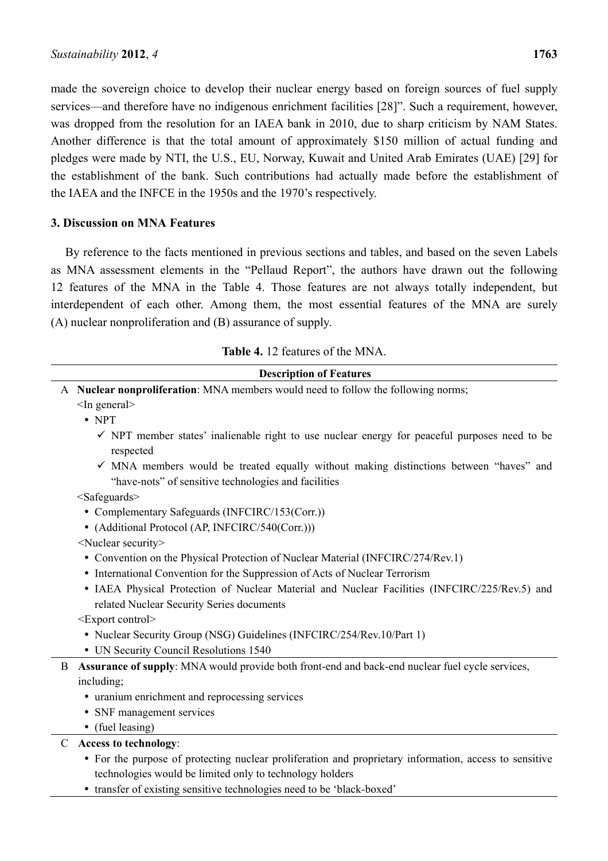made the sovereign choice to develop their nuclear energy based on foreign sources of fuel supply services—and therefore have no indigenous enrichment facilities [28]". Such a requirement, however, was dropped from the resolution for an IAEA bank in 2010, due to sharp criticism by NAM States. Another difference is that the total amount of approximately \$150 million of actual funding and pledges were made by NTI, the U.S., EU, Norway, Kuwait and United Arab Emirates (UAE) [29] for the establishment of the bank. Such contributions had actually made before the establishment of the IAEA and the INFCE in the 1950s and the 1970's respectively.

# **3. Discussion on MNA Features**

By reference to the facts mentioned in previous sections and tables, and based on the seven Labels as MNA assessment elements in the "Pellaud Report", the authors have drawn out the following 12 features of the MNA in the Table 4. Those features are not always totally independent, but interdependent of each other. Among them, the most essential features of the MNA are surely (A) nuclear nonproliferation and (B) assurance of supply.

| <b>Table 4.</b> 12 features of the MNA. |  |  |  |  |
|-----------------------------------------|--|--|--|--|
|-----------------------------------------|--|--|--|--|

|   | <b>Description of Features</b>                                                                                                                            |
|---|-----------------------------------------------------------------------------------------------------------------------------------------------------------|
|   | A Nuclear nonproliferation: MNA members would need to follow the following norms;                                                                         |
|   | $<$ In general $>$                                                                                                                                        |
|   | $\bullet$ NPT                                                                                                                                             |
|   | $\checkmark$ NPT member states' inalienable right to use nuclear energy for peaceful purposes need to be<br>respected                                     |
|   | $\checkmark$ MNA members would be treated equally without making distinctions between "haves" and<br>"have-nots" of sensitive technologies and facilities |
|   | $<$ Safeguards $>$                                                                                                                                        |
|   | • Complementary Safeguards (INFCIRC/153(Corr.))                                                                                                           |
|   | • (Additional Protocol (AP, INFCIRC/540(Corr.)))                                                                                                          |
|   | <nuclear security=""></nuclear>                                                                                                                           |
|   | • Convention on the Physical Protection of Nuclear Material (INFCIRC/274/Rev.1)                                                                           |
|   | • International Convention for the Suppression of Acts of Nuclear Terrorism                                                                               |
|   | • IAEA Physical Protection of Nuclear Material and Nuclear Facilities (INFCIRC/225/Rev.5) and<br>related Nuclear Security Series documents                |
|   | <export control=""></export>                                                                                                                              |
|   | • Nuclear Security Group (NSG) Guidelines (INFCIRC/254/Rev.10/Part 1)                                                                                     |
|   | • UN Security Council Resolutions 1540                                                                                                                    |
| B | Assurance of supply: MNA would provide both front-end and back-end nuclear fuel cycle services,                                                           |
|   | including;                                                                                                                                                |
|   | • uranium enrichment and reprocessing services                                                                                                            |
|   | • SNF management services                                                                                                                                 |
|   | • (fuel leasing)                                                                                                                                          |
|   | <b>Access to technology:</b>                                                                                                                              |
|   | • For the purpose of protecting nuclear proliferation and proprietary information, access to sensitive                                                    |
|   | technologies would be limited only to technology holders                                                                                                  |

• transfer of existing sensitive technologies need to be 'black-boxed'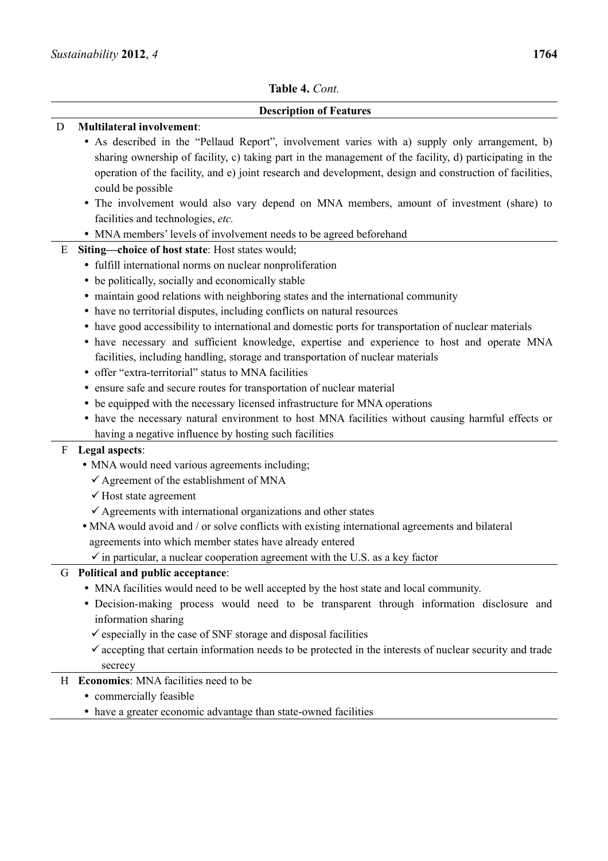# **Description of Features**

| D | <b>Multilateral involvement:</b>                                                                                     |
|---|----------------------------------------------------------------------------------------------------------------------|
|   | • As described in the "Pellaud Report", involvement varies with a) supply only arrangement, b)                       |
|   | sharing ownership of facility, c) taking part in the management of the facility, d) participating in the             |
|   | operation of the facility, and e) joint research and development, design and construction of facilities,             |
|   | could be possible                                                                                                    |
|   | • The involvement would also vary depend on MNA members, amount of investment (share) to                             |
|   | facilities and technologies, etc.                                                                                    |
|   | • MNA members' levels of involvement needs to be agreed beforehand                                                   |
| E | Siting-choice of host state: Host states would;                                                                      |
|   | • fulfill international norms on nuclear nonproliferation                                                            |
|   | • be politically, socially and economically stable                                                                   |
|   | • maintain good relations with neighboring states and the international community                                    |
|   | • have no territorial disputes, including conflicts on natural resources                                             |
|   | • have good accessibility to international and domestic ports for transportation of nuclear materials                |
|   | • have necessary and sufficient knowledge, expertise and experience to host and operate MNA                          |
|   | facilities, including handling, storage and transportation of nuclear materials                                      |
|   | • offer "extra-territorial" status to MNA facilities                                                                 |
|   | • ensure safe and secure routes for transportation of nuclear material                                               |
|   | • be equipped with the necessary licensed infrastructure for MNA operations                                          |
|   | • have the necessary natural environment to host MNA facilities without causing harmful effects or                   |
|   | having a negative influence by hosting such facilities                                                               |
| F | Legal aspects:                                                                                                       |
|   | • MNA would need various agreements including;                                                                       |
|   | $\checkmark$ Agreement of the establishment of MNA                                                                   |
|   | $\checkmark$ Host state agreement                                                                                    |
|   | $\checkmark$ Agreements with international organizations and other states                                            |
|   | • MNA would avoid and / or solve conflicts with existing international agreements and bilateral                      |
|   | agreements into which member states have already entered                                                             |
|   | $\checkmark$ in particular, a nuclear cooperation agreement with the U.S. as a key factor                            |
|   | G Political and public acceptance:                                                                                   |
|   | • MNA facilities would need to be well accepted by the host state and local community.                               |
|   | · Decision-making process would need to be transparent through information disclosure and                            |
|   | information sharing                                                                                                  |
|   | $\checkmark$ especially in the case of SNF storage and disposal facilities                                           |
|   | $\checkmark$ accepting that certain information needs to be protected in the interests of nuclear security and trade |
|   | secrecy                                                                                                              |
|   | H Economics: MNA facilities need to be                                                                               |
|   | • commercially feasible                                                                                              |
|   | • have a greater economic advantage than state-owned facilities                                                      |
|   |                                                                                                                      |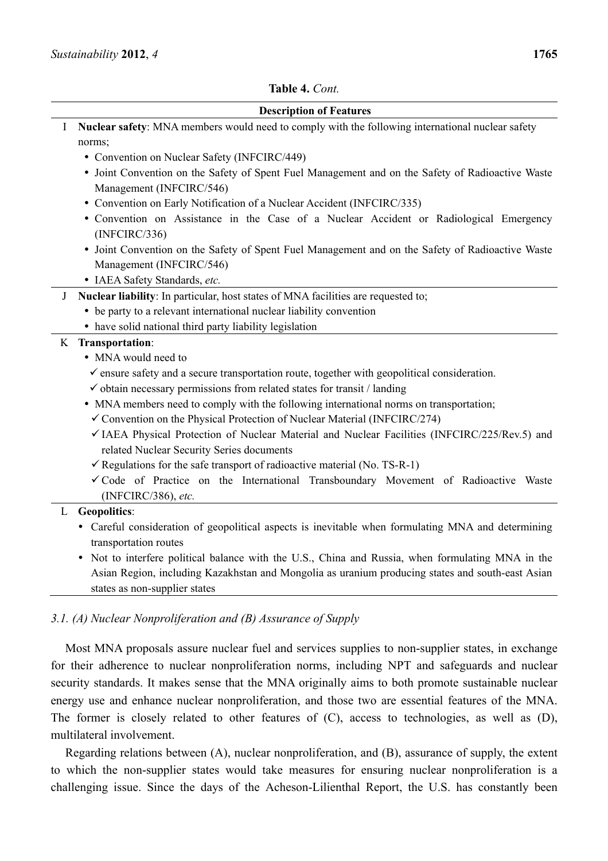

states as non-supplier states

# *3.1. (A) Nuclear Nonproliferation and (B) Assurance of Supply*

Most MNA proposals assure nuclear fuel and services supplies to non-supplier states, in exchange for their adherence to nuclear nonproliferation norms, including NPT and safeguards and nuclear security standards. It makes sense that the MNA originally aims to both promote sustainable nuclear energy use and enhance nuclear nonproliferation, and those two are essential features of the MNA. The former is closely related to other features of (C), access to technologies, as well as (D), multilateral involvement.

Regarding relations between (A), nuclear nonproliferation, and (B), assurance of supply, the extent to which the non-supplier states would take measures for ensuring nuclear nonproliferation is a challenging issue. Since the days of the Acheson-Lilienthal Report, the U.S. has constantly been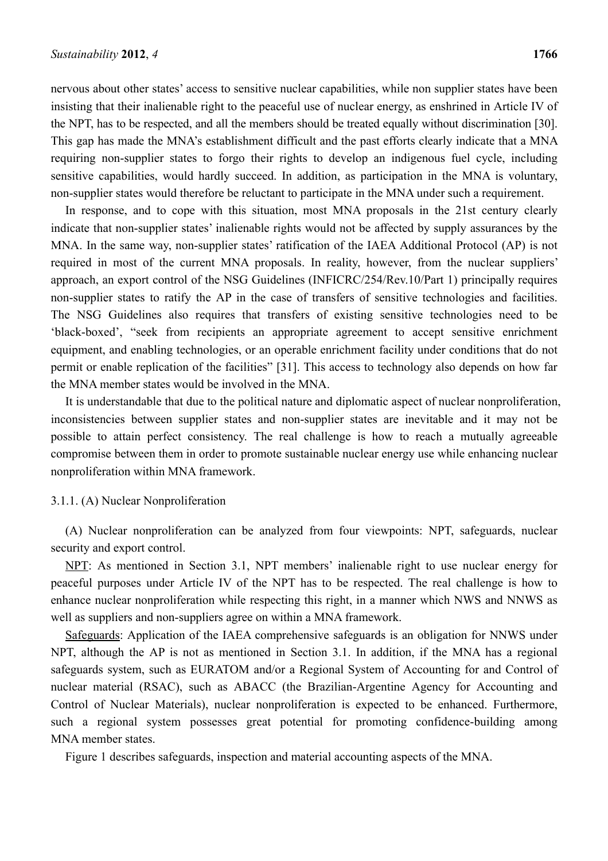nervous about other states' access to sensitive nuclear capabilities, while non supplier states have been insisting that their inalienable right to the peaceful use of nuclear energy, as enshrined in Article IV of the NPT, has to be respected, and all the members should be treated equally without discrimination [30]. This gap has made the MNA's establishment difficult and the past efforts clearly indicate that a MNA requiring non-supplier states to forgo their rights to develop an indigenous fuel cycle, including sensitive capabilities, would hardly succeed. In addition, as participation in the MNA is voluntary, non-supplier states would therefore be reluctant to participate in the MNA under such a requirement.

In response, and to cope with this situation, most MNA proposals in the 21st century clearly indicate that non-supplier states' inalienable rights would not be affected by supply assurances by the MNA. In the same way, non-supplier states' ratification of the IAEA Additional Protocol (AP) is not required in most of the current MNA proposals. In reality, however, from the nuclear suppliers' approach, an export control of the NSG Guidelines (INFICRC/254/Rev.10/Part 1) principally requires non-supplier states to ratify the AP in the case of transfers of sensitive technologies and facilities. The NSG Guidelines also requires that transfers of existing sensitive technologies need to be 'black-boxed', "seek from recipients an appropriate agreement to accept sensitive enrichment equipment, and enabling technologies, or an operable enrichment facility under conditions that do not permit or enable replication of the facilities" [31]. This access to technology also depends on how far the MNA member states would be involved in the MNA.

It is understandable that due to the political nature and diplomatic aspect of nuclear nonproliferation, inconsistencies between supplier states and non-supplier states are inevitable and it may not be possible to attain perfect consistency. The real challenge is how to reach a mutually agreeable compromise between them in order to promote sustainable nuclear energy use while enhancing nuclear nonproliferation within MNA framework.

#### 3.1.1. (A) Nuclear Nonproliferation

(A) Nuclear nonproliferation can be analyzed from four viewpoints: NPT, safeguards, nuclear security and export control.

NPT: As mentioned in Section 3.1, NPT members' inalienable right to use nuclear energy for peaceful purposes under Article IV of the NPT has to be respected. The real challenge is how to enhance nuclear nonproliferation while respecting this right, in a manner which NWS and NNWS as well as suppliers and non-suppliers agree on within a MNA framework.

Safeguards: Application of the IAEA comprehensive safeguards is an obligation for NNWS under NPT, although the AP is not as mentioned in Section 3.1. In addition, if the MNA has a regional safeguards system, such as EURATOM and/or a Regional System of Accounting for and Control of nuclear material (RSAC), such as ABACC (the Brazilian-Argentine Agency for Accounting and Control of Nuclear Materials), nuclear nonproliferation is expected to be enhanced. Furthermore, such a regional system possesses great potential for promoting confidence-building among MNA member states.

Figure 1 describes safeguards, inspection and material accounting aspects of the MNA.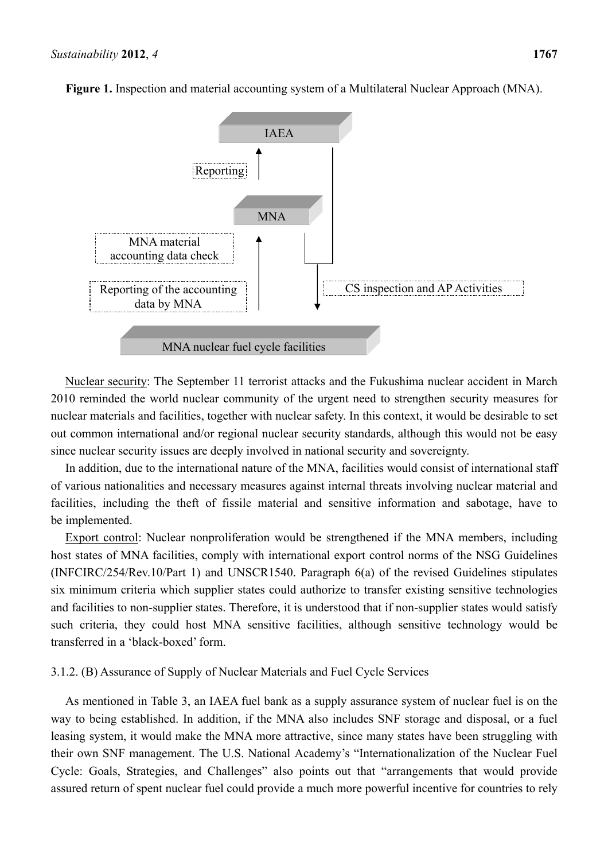

**Figure 1.** Inspection and material accounting system of a Multilateral Nuclear Approach (MNA).

Nuclear security: The September 11 terrorist attacks and the Fukushima nuclear accident in March 2010 reminded the world nuclear community of the urgent need to strengthen security measures for nuclear materials and facilities, together with nuclear safety. In this context, it would be desirable to set out common international and/or regional nuclear security standards, although this would not be easy since nuclear security issues are deeply involved in national security and sovereignty.

In addition, due to the international nature of the MNA, facilities would consist of international staff of various nationalities and necessary measures against internal threats involving nuclear material and facilities, including the theft of fissile material and sensitive information and sabotage, have to be implemented.

Export control: Nuclear nonproliferation would be strengthened if the MNA members, including host states of MNA facilities, comply with international export control norms of the NSG Guidelines (INFCIRC/254/Rev.10/Part 1) and UNSCR1540. Paragraph 6(a) of the revised Guidelines stipulates six minimum criteria which supplier states could authorize to transfer existing sensitive technologies and facilities to non-supplier states. Therefore, it is understood that if non-supplier states would satisfy such criteria, they could host MNA sensitive facilities, although sensitive technology would be transferred in a 'black-boxed' form.

# 3.1.2. (B) Assurance of Supply of Nuclear Materials and Fuel Cycle Services

As mentioned in Table 3, an IAEA fuel bank as a supply assurance system of nuclear fuel is on the way to being established. In addition, if the MNA also includes SNF storage and disposal, or a fuel leasing system, it would make the MNA more attractive, since many states have been struggling with their own SNF management. The U.S. National Academy's "Internationalization of the Nuclear Fuel Cycle: Goals, Strategies, and Challenges" also points out that "arrangements that would provide assured return of spent nuclear fuel could provide a much more powerful incentive for countries to rely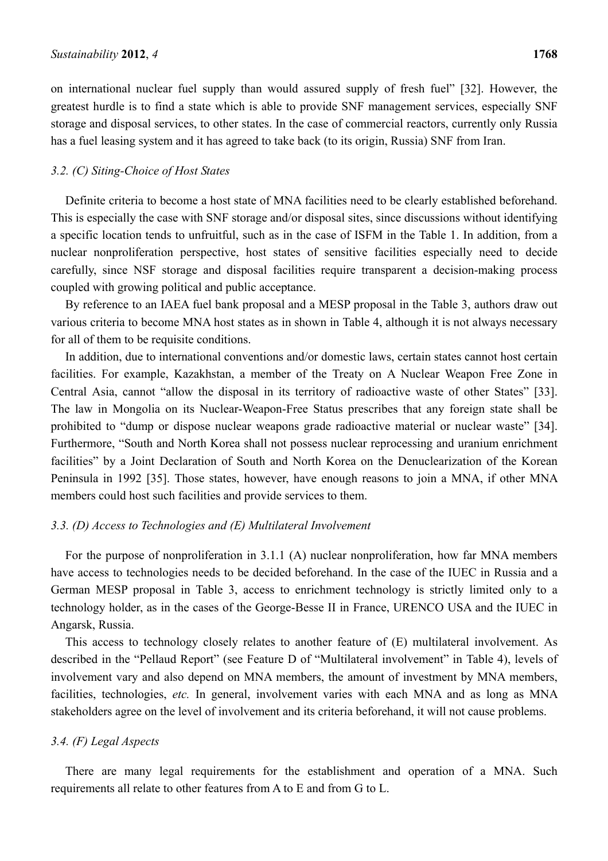on international nuclear fuel supply than would assured supply of fresh fuel" [32]. However, the greatest hurdle is to find a state which is able to provide SNF management services, especially SNF storage and disposal services, to other states. In the case of commercial reactors, currently only Russia has a fuel leasing system and it has agreed to take back (to its origin, Russia) SNF from Iran.

#### *3.2. (C) Siting-Choice of Host States*

Definite criteria to become a host state of MNA facilities need to be clearly established beforehand. This is especially the case with SNF storage and/or disposal sites, since discussions without identifying a specific location tends to unfruitful, such as in the case of ISFM in the Table 1. In addition, from a nuclear nonproliferation perspective, host states of sensitive facilities especially need to decide carefully, since NSF storage and disposal facilities require transparent a decision-making process coupled with growing political and public acceptance.

By reference to an IAEA fuel bank proposal and a MESP proposal in the Table 3, authors draw out various criteria to become MNA host states as in shown in Table 4, although it is not always necessary for all of them to be requisite conditions.

In addition, due to international conventions and/or domestic laws, certain states cannot host certain facilities. For example, Kazakhstan, a member of the Treaty on A Nuclear Weapon Free Zone in Central Asia, cannot "allow the disposal in its territory of radioactive waste of other States" [33]. The law in Mongolia on its Nuclear-Weapon-Free Status prescribes that any foreign state shall be prohibited to "dump or dispose nuclear weapons grade radioactive material or nuclear waste" [34]. Furthermore, "South and North Korea shall not possess nuclear reprocessing and uranium enrichment facilities" by a Joint Declaration of South and North Korea on the Denuclearization of the Korean Peninsula in 1992 [35]. Those states, however, have enough reasons to join a MNA, if other MNA members could host such facilities and provide services to them.

#### *3.3. (D) Access to Technologies and (E) Multilateral Involvement*

For the purpose of nonproliferation in 3.1.1 (A) nuclear nonproliferation, how far MNA members have access to technologies needs to be decided beforehand. In the case of the IUEC in Russia and a German MESP proposal in Table 3, access to enrichment technology is strictly limited only to a technology holder, as in the cases of the George-Besse II in France, URENCO USA and the IUEC in Angarsk, Russia.

This access to technology closely relates to another feature of (E) multilateral involvement. As described in the "Pellaud Report" (see Feature D of "Multilateral involvement" in Table 4), levels of involvement vary and also depend on MNA members, the amount of investment by MNA members, facilities, technologies, *etc.* In general, involvement varies with each MNA and as long as MNA stakeholders agree on the level of involvement and its criteria beforehand, it will not cause problems.

#### *3.4. (F) Legal Aspects*

There are many legal requirements for the establishment and operation of a MNA. Such requirements all relate to other features from A to E and from G to L.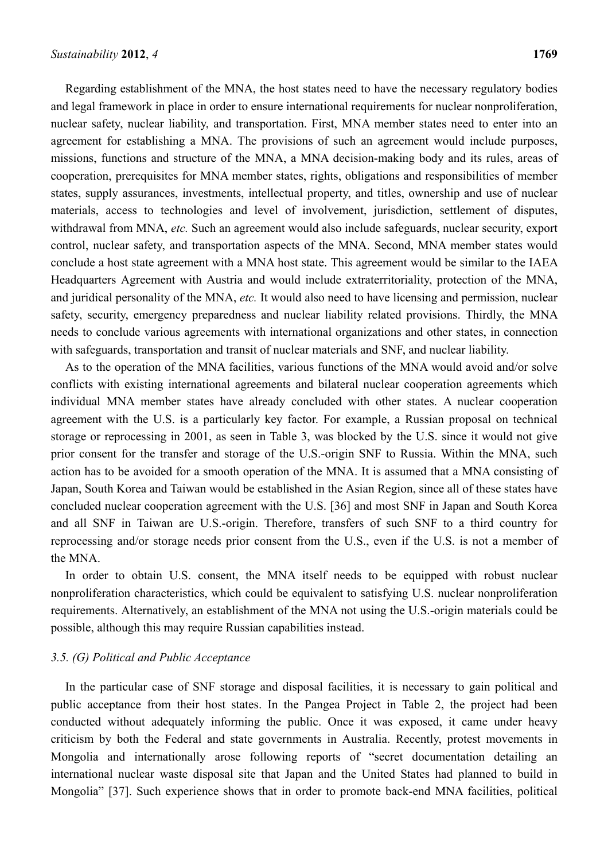Regarding establishment of the MNA, the host states need to have the necessary regulatory bodies and legal framework in place in order to ensure international requirements for nuclear nonproliferation, nuclear safety, nuclear liability, and transportation. First, MNA member states need to enter into an agreement for establishing a MNA. The provisions of such an agreement would include purposes, missions, functions and structure of the MNA, a MNA decision-making body and its rules, areas of cooperation, prerequisites for MNA member states, rights, obligations and responsibilities of member states, supply assurances, investments, intellectual property, and titles, ownership and use of nuclear materials, access to technologies and level of involvement, jurisdiction, settlement of disputes, withdrawal from MNA, *etc.* Such an agreement would also include safeguards, nuclear security, export control, nuclear safety, and transportation aspects of the MNA. Second, MNA member states would conclude a host state agreement with a MNA host state. This agreement would be similar to the IAEA Headquarters Agreement with Austria and would include extraterritoriality, protection of the MNA, and juridical personality of the MNA, *etc.* It would also need to have licensing and permission, nuclear safety, security, emergency preparedness and nuclear liability related provisions. Thirdly, the MNA needs to conclude various agreements with international organizations and other states, in connection with safeguards, transportation and transit of nuclear materials and SNF, and nuclear liability.

As to the operation of the MNA facilities, various functions of the MNA would avoid and/or solve conflicts with existing international agreements and bilateral nuclear cooperation agreements which individual MNA member states have already concluded with other states. A nuclear cooperation agreement with the U.S. is a particularly key factor. For example, a Russian proposal on technical storage or reprocessing in 2001, as seen in Table 3, was blocked by the U.S. since it would not give prior consent for the transfer and storage of the U.S.-origin SNF to Russia. Within the MNA, such action has to be avoided for a smooth operation of the MNA. It is assumed that a MNA consisting of Japan, South Korea and Taiwan would be established in the Asian Region, since all of these states have concluded nuclear cooperation agreement with the U.S. [36] and most SNF in Japan and South Korea and all SNF in Taiwan are U.S.-origin. Therefore, transfers of such SNF to a third country for reprocessing and/or storage needs prior consent from the U.S., even if the U.S. is not a member of the MNA.

In order to obtain U.S. consent, the MNA itself needs to be equipped with robust nuclear nonproliferation characteristics, which could be equivalent to satisfying U.S. nuclear nonproliferation requirements. Alternatively, an establishment of the MNA not using the U.S.-origin materials could be possible, although this may require Russian capabilities instead.

# *3.5. (G) Political and Public Acceptance*

In the particular case of SNF storage and disposal facilities, it is necessary to gain political and public acceptance from their host states. In the Pangea Project in Table 2, the project had been conducted without adequately informing the public. Once it was exposed, it came under heavy criticism by both the Federal and state governments in Australia. Recently, protest movements in Mongolia and internationally arose following reports of "secret documentation detailing an international nuclear waste disposal site that Japan and the United States had planned to build in Mongolia" [37]. Such experience shows that in order to promote back-end MNA facilities, political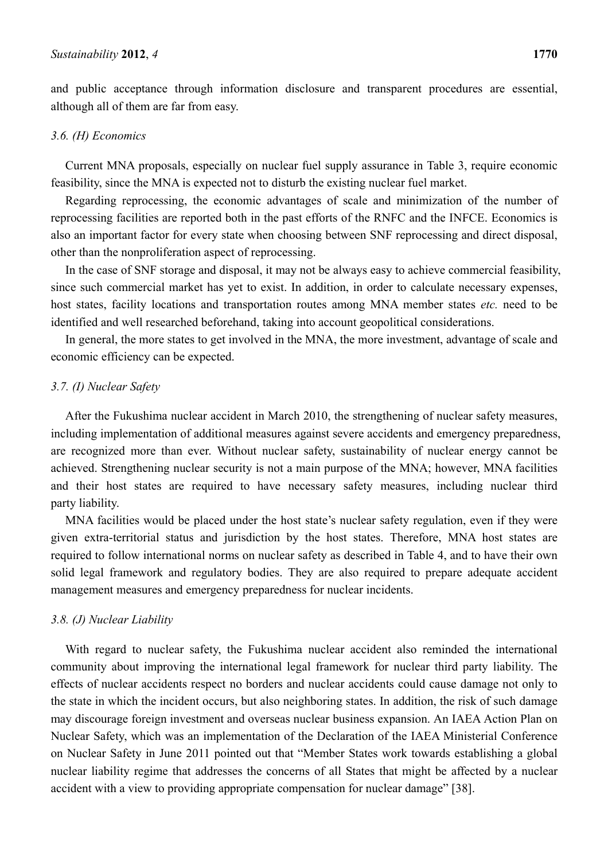and public acceptance through information disclosure and transparent procedures are essential, although all of them are far from easy.

#### *3.6. (H) Economics*

Current MNA proposals, especially on nuclear fuel supply assurance in Table 3, require economic feasibility, since the MNA is expected not to disturb the existing nuclear fuel market.

Regarding reprocessing, the economic advantages of scale and minimization of the number of reprocessing facilities are reported both in the past efforts of the RNFC and the INFCE. Economics is also an important factor for every state when choosing between SNF reprocessing and direct disposal, other than the nonproliferation aspect of reprocessing.

In the case of SNF storage and disposal, it may not be always easy to achieve commercial feasibility, since such commercial market has yet to exist. In addition, in order to calculate necessary expenses, host states, facility locations and transportation routes among MNA member states *etc.* need to be identified and well researched beforehand, taking into account geopolitical considerations.

In general, the more states to get involved in the MNA, the more investment, advantage of scale and economic efficiency can be expected.

# *3.7. (I) Nuclear Safety*

After the Fukushima nuclear accident in March 2010, the strengthening of nuclear safety measures, including implementation of additional measures against severe accidents and emergency preparedness, are recognized more than ever. Without nuclear safety, sustainability of nuclear energy cannot be achieved. Strengthening nuclear security is not a main purpose of the MNA; however, MNA facilities and their host states are required to have necessary safety measures, including nuclear third party liability.

MNA facilities would be placed under the host state's nuclear safety regulation, even if they were given extra-territorial status and jurisdiction by the host states. Therefore, MNA host states are required to follow international norms on nuclear safety as described in Table 4, and to have their own solid legal framework and regulatory bodies. They are also required to prepare adequate accident management measures and emergency preparedness for nuclear incidents.

# *3.8. (J) Nuclear Liability*

With regard to nuclear safety, the Fukushima nuclear accident also reminded the international community about improving the international legal framework for nuclear third party liability. The effects of nuclear accidents respect no borders and nuclear accidents could cause damage not only to the state in which the incident occurs, but also neighboring states. In addition, the risk of such damage may discourage foreign investment and overseas nuclear business expansion. An IAEA Action Plan on Nuclear Safety, which was an implementation of the Declaration of the IAEA Ministerial Conference on Nuclear Safety in June 2011 pointed out that "Member States work towards establishing a global nuclear liability regime that addresses the concerns of all States that might be affected by a nuclear accident with a view to providing appropriate compensation for nuclear damage" [38].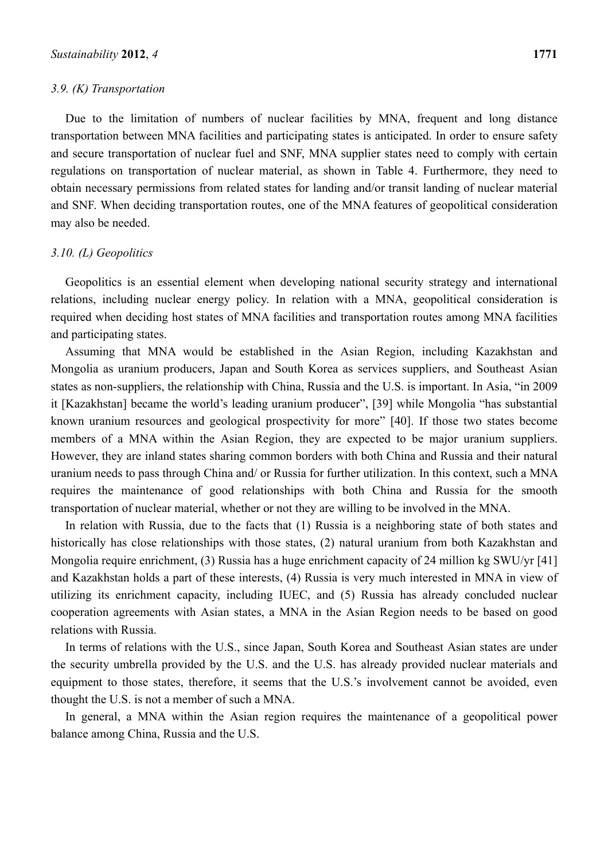#### *3.9. (K) Transportation*

Due to the limitation of numbers of nuclear facilities by MNA, frequent and long distance transportation between MNA facilities and participating states is anticipated. In order to ensure safety and secure transportation of nuclear fuel and SNF, MNA supplier states need to comply with certain regulations on transportation of nuclear material, as shown in Table 4. Furthermore, they need to obtain necessary permissions from related states for landing and/or transit landing of nuclear material and SNF. When deciding transportation routes, one of the MNA features of geopolitical consideration may also be needed.

#### *3.10. (L) Geopolitics*

Geopolitics is an essential element when developing national security strategy and international relations, including nuclear energy policy. In relation with a MNA, geopolitical consideration is required when deciding host states of MNA facilities and transportation routes among MNA facilities and participating states.

Assuming that MNA would be established in the Asian Region, including Kazakhstan and Mongolia as uranium producers, Japan and South Korea as services suppliers, and Southeast Asian states as non-suppliers, the relationship with China, Russia and the U.S. is important. In Asia, "in 2009 it [Kazakhstan] became the world's leading uranium producer", [39] while Mongolia "has substantial known uranium resources and geological prospectivity for more" [40]. If those two states become members of a MNA within the Asian Region, they are expected to be major uranium suppliers. However, they are inland states sharing common borders with both China and Russia and their natural uranium needs to pass through China and/ or Russia for further utilization. In this context, such a MNA requires the maintenance of good relationships with both China and Russia for the smooth transportation of nuclear material, whether or not they are willing to be involved in the MNA.

In relation with Russia, due to the facts that (1) Russia is a neighboring state of both states and historically has close relationships with those states, (2) natural uranium from both Kazakhstan and Mongolia require enrichment, (3) Russia has a huge enrichment capacity of 24 million kg SWU/yr [41] and Kazakhstan holds a part of these interests, (4) Russia is very much interested in MNA in view of utilizing its enrichment capacity, including IUEC, and (5) Russia has already concluded nuclear cooperation agreements with Asian states, a MNA in the Asian Region needs to be based on good relations with Russia.

In terms of relations with the U.S., since Japan, South Korea and Southeast Asian states are under the security umbrella provided by the U.S. and the U.S. has already provided nuclear materials and equipment to those states, therefore, it seems that the U.S.'s involvement cannot be avoided, even thought the U.S. is not a member of such a MNA.

In general, a MNA within the Asian region requires the maintenance of a geopolitical power balance among China, Russia and the U.S.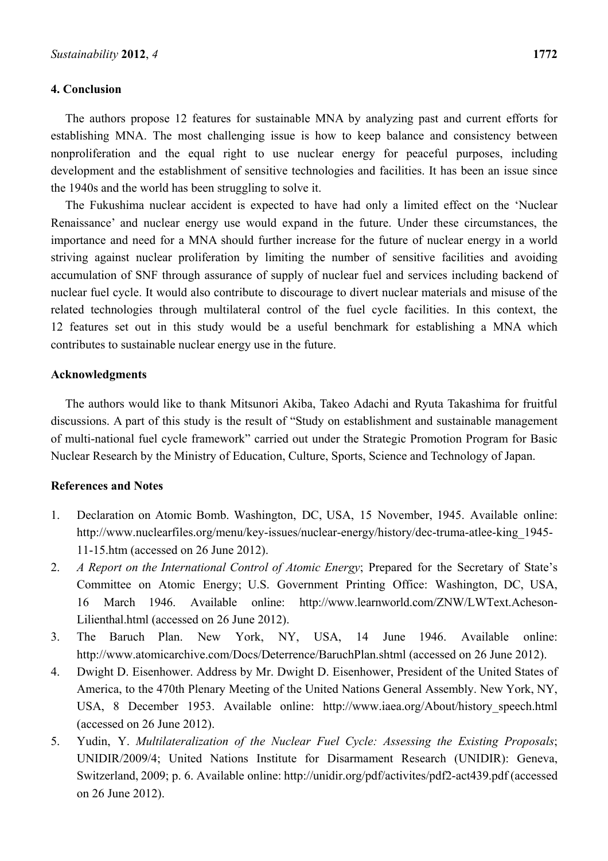#### **4. Conclusion**

The authors propose 12 features for sustainable MNA by analyzing past and current efforts for establishing MNA. The most challenging issue is how to keep balance and consistency between nonproliferation and the equal right to use nuclear energy for peaceful purposes, including development and the establishment of sensitive technologies and facilities. It has been an issue since the 1940s and the world has been struggling to solve it.

The Fukushima nuclear accident is expected to have had only a limited effect on the 'Nuclear Renaissance' and nuclear energy use would expand in the future. Under these circumstances, the importance and need for a MNA should further increase for the future of nuclear energy in a world striving against nuclear proliferation by limiting the number of sensitive facilities and avoiding accumulation of SNF through assurance of supply of nuclear fuel and services including backend of nuclear fuel cycle. It would also contribute to discourage to divert nuclear materials and misuse of the related technologies through multilateral control of the fuel cycle facilities. In this context, the 12 features set out in this study would be a useful benchmark for establishing a MNA which contributes to sustainable nuclear energy use in the future.

#### **Acknowledgments**

The authors would like to thank Mitsunori Akiba, Takeo Adachi and Ryuta Takashima for fruitful discussions. A part of this study is the result of "Study on establishment and sustainable management of multi-national fuel cycle framework" carried out under the Strategic Promotion Program for Basic Nuclear Research by the Ministry of Education, Culture, Sports, Science and Technology of Japan.

#### **References and Notes**

- 1. Declaration on Atomic Bomb. Washington, DC, USA, 15 November, 1945. Available online: http://www.nuclearfiles.org/menu/key-issues/nuclear-energy/history/dec-truma-atlee-king\_1945- 11-15.htm (accessed on 26 June 2012).
- 2. *A Report on the International Control of Atomic Energy*; Prepared for the Secretary of State's Committee on Atomic Energy; U.S. Government Printing Office: Washington, DC, USA, 16 March 1946. Available online: http://www.learnworld.com/ZNW/LWText.Acheson-Lilienthal.html (accessed on 26 June 2012).
- 3. The Baruch Plan. New York, NY, USA, 14 June 1946. Available online: http://www.atomicarchive.com/Docs/Deterrence/BaruchPlan.shtml (accessed on 26 June 2012).
- 4. Dwight D. Eisenhower. Address by Mr. Dwight D. Eisenhower, President of the United States of America, to the 470th Plenary Meeting of the United Nations General Assembly. New York, NY, USA, 8 December 1953. Available online: http://www.iaea.org/About/history\_speech.html (accessed on 26 June 2012).
- 5. Yudin, Y. *Multilateralization of the Nuclear Fuel Cycle: Assessing the Existing Proposals*; UNIDIR/2009/4; United Nations Institute for Disarmament Research (UNIDIR): Geneva, Switzerland, 2009; p. 6. Available online: http://unidir.org/pdf/activites/pdf2-act439.pdf (accessed on 26 June 2012).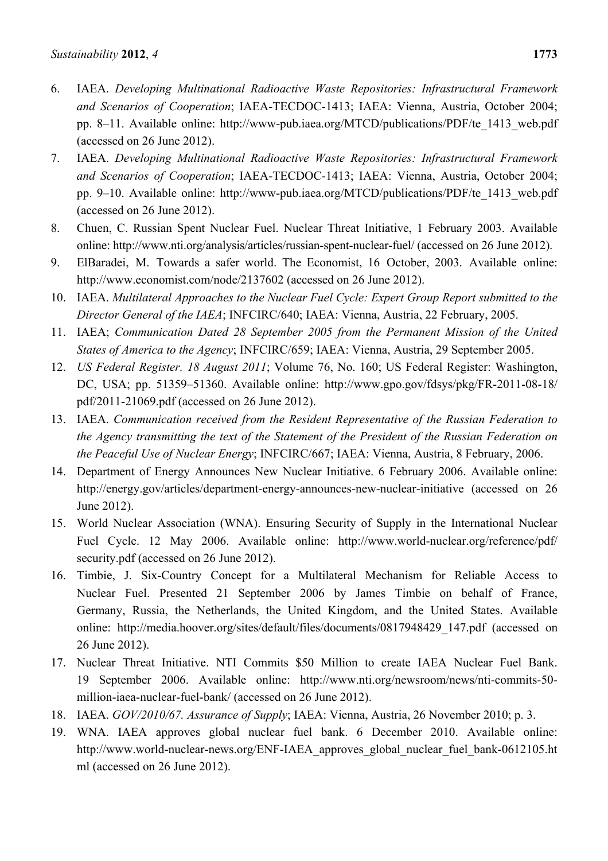- 6. IAEA. *Developing Multinational Radioactive Waste Repositories: Infrastructural Framework and Scenarios of Cooperation*; IAEA-TECDOC-1413; IAEA: Vienna, Austria, October 2004; pp. 8–11. Available online: http://www-pub.iaea.org/MTCD/publications/PDF/te\_1413\_web.pdf (accessed on 26 June 2012).
- 7. IAEA. *Developing Multinational Radioactive Waste Repositories: Infrastructural Framework and Scenarios of Cooperation*; IAEA-TECDOC-1413; IAEA: Vienna, Austria, October 2004; pp. 9–10. Available online: http://www-pub.iaea.org/MTCD/publications/PDF/te\_1413\_web.pdf (accessed on 26 June 2012).
- 8. Chuen, C. Russian Spent Nuclear Fuel. Nuclear Threat Initiative, 1 February 2003. Available online: http://www.nti.org/analysis/articles/russian-spent-nuclear-fuel/ (accessed on 26 June 2012).
- 9. ElBaradei, M. Towards a safer world. The Economist, 16 October, 2003. Available online: http://www.economist.com/node/2137602 (accessed on 26 June 2012).
- 10. IAEA. *Multilateral Approaches to the Nuclear Fuel Cycle: Expert Group Report submitted to the Director General of the IAEA*; INFCIRC/640; IAEA: Vienna, Austria, 22 February, 2005.
- 11. IAEA; *Communication Dated 28 September 2005 from the Permanent Mission of the United States of America to the Agency*; INFCIRC/659; IAEA: Vienna, Austria, 29 September 2005.
- 12. *US Federal Register. 18 August 2011*; Volume 76, No. 160; US Federal Register: Washington, DC, USA; pp. 51359–51360. Available online: http://www.gpo.gov/fdsys/pkg/FR-2011-08-18/ pdf/2011-21069.pdf (accessed on 26 June 2012).
- 13. IAEA. *Communication received from the Resident Representative of the Russian Federation to the Agency transmitting the text of the Statement of the President of the Russian Federation on the Peaceful Use of Nuclear Energy*; INFCIRC/667; IAEA: Vienna, Austria, 8 February, 2006.
- 14. Department of Energy Announces New Nuclear Initiative. 6 February 2006. Available online: http://energy.gov/articles/department-energy-announces-new-nuclear-initiative (accessed on 26 June 2012).
- 15. World Nuclear Association (WNA). Ensuring Security of Supply in the International Nuclear Fuel Cycle. 12 May 2006. Available online: http://www.world-nuclear.org/reference/pdf/ security.pdf (accessed on 26 June 2012).
- 16. Timbie, J. Six-Country Concept for a Multilateral Mechanism for Reliable Access to Nuclear Fuel. Presented 21 September 2006 by James Timbie on behalf of France, Germany, Russia, the Netherlands, the United Kingdom, and the United States. Available online: http://media.hoover.org/sites/default/files/documents/0817948429\_147.pdf (accessed on 26 June 2012).
- 17. Nuclear Threat Initiative. NTI Commits \$50 Million to create IAEA Nuclear Fuel Bank. 19 September 2006. Available online: http://www.nti.org/newsroom/news/nti-commits-50 million-iaea-nuclear-fuel-bank/ (accessed on 26 June 2012).
- 18. IAEA. *GOV/2010/67. Assurance of Supply*; IAEA: Vienna, Austria, 26 November 2010; p. 3.
- 19. WNA. IAEA approves global nuclear fuel bank. 6 December 2010. Available online: http://www.world-nuclear-news.org/ENF-IAEA\_approves\_global\_nuclear\_fuel\_bank-0612105.ht ml (accessed on 26 June 2012).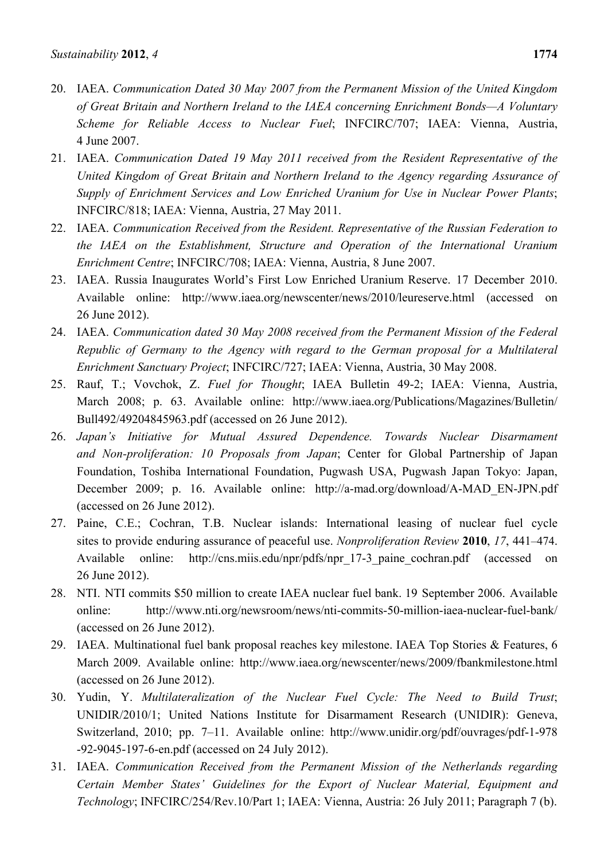- 20. IAEA. *Communication Dated 30 May 2007 from the Permanent Mission of the United Kingdom of Great Britain and Northern Ireland to the IAEA concerning Enrichment Bonds—A Voluntary Scheme for Reliable Access to Nuclear Fuel*; INFCIRC/707; IAEA: Vienna, Austria, 4 June 2007.
- 21. IAEA. *Communication Dated 19 May 2011 received from the Resident Representative of the United Kingdom of Great Britain and Northern Ireland to the Agency regarding Assurance of Supply of Enrichment Services and Low Enriched Uranium for Use in Nuclear Power Plants*; INFCIRC/818; IAEA: Vienna, Austria, 27 May 2011.
- 22. IAEA. *Communication Received from the Resident. Representative of the Russian Federation to the IAEA on the Establishment, Structure and Operation of the International Uranium Enrichment Centre*; INFCIRC/708; IAEA: Vienna, Austria, 8 June 2007.
- 23. IAEA. Russia Inaugurates World's First Low Enriched Uranium Reserve. 17 December 2010. Available online: http://www.iaea.org/newscenter/news/2010/leureserve.html (accessed on 26 June 2012).
- 24. IAEA. *Communication dated 30 May 2008 received from the Permanent Mission of the Federal Republic of Germany to the Agency with regard to the German proposal for a Multilateral Enrichment Sanctuary Project*; INFCIRC/727; IAEA: Vienna, Austria, 30 May 2008.
- 25. Rauf, T.; Vovchok, Z. *Fuel for Thought*; IAEA Bulletin 49-2; IAEA: Vienna, Austria, March 2008; p. 63. Available online: http://www.iaea.org/Publications/Magazines/Bulletin/ Bull492/49204845963.pdf (accessed on 26 June 2012).
- 26. *Japan's Initiative for Mutual Assured Dependence. Towards Nuclear Disarmament and Non-proliferation: 10 Proposals from Japan*; Center for Global Partnership of Japan Foundation, Toshiba International Foundation, Pugwash USA, Pugwash Japan Tokyo: Japan, December 2009; p. 16. Available online: http://a-mad.org/download/A-MAD\_EN-JPN.pdf (accessed on 26 June 2012).
- 27. Paine, C.E.; Cochran, T.B. Nuclear islands: International leasing of nuclear fuel cycle sites to provide enduring assurance of peaceful use. *Nonproliferation Review* **2010**, *17*, 441–474. Available online: http://cns.miis.edu/npr/pdfs/npr\_17-3\_paine\_cochran.pdf (accessed on 26 June 2012).
- 28. NTI. NTI commits \$50 million to create IAEA nuclear fuel bank. 19 September 2006. Available online: http://www.nti.org/newsroom/news/nti-commits-50-million-iaea-nuclear-fuel-bank/ (accessed on 26 June 2012).
- 29. IAEA. Multinational fuel bank proposal reaches key milestone. IAEA Top Stories & Features, 6 March 2009. Available online: http://www.iaea.org/newscenter/news/2009/fbankmilestone.html (accessed on 26 June 2012).
- 30. Yudin, Y. *Multilateralization of the Nuclear Fuel Cycle: The Need to Build Trust*; UNIDIR/2010/1; United Nations Institute for Disarmament Research (UNIDIR): Geneva, Switzerland, 2010; pp. 7–11. Available online: http://www.unidir.org/pdf/ouvrages/pdf-1-978 -92-9045-197-6-en.pdf (accessed on 24 July 2012).
- 31. IAEA. *Communication Received from the Permanent Mission of the Netherlands regarding Certain Member States' Guidelines for the Export of Nuclear Material, Equipment and Technology*; INFCIRC/254/Rev.10/Part 1; IAEA: Vienna, Austria: 26 July 2011; Paragraph 7 (b).